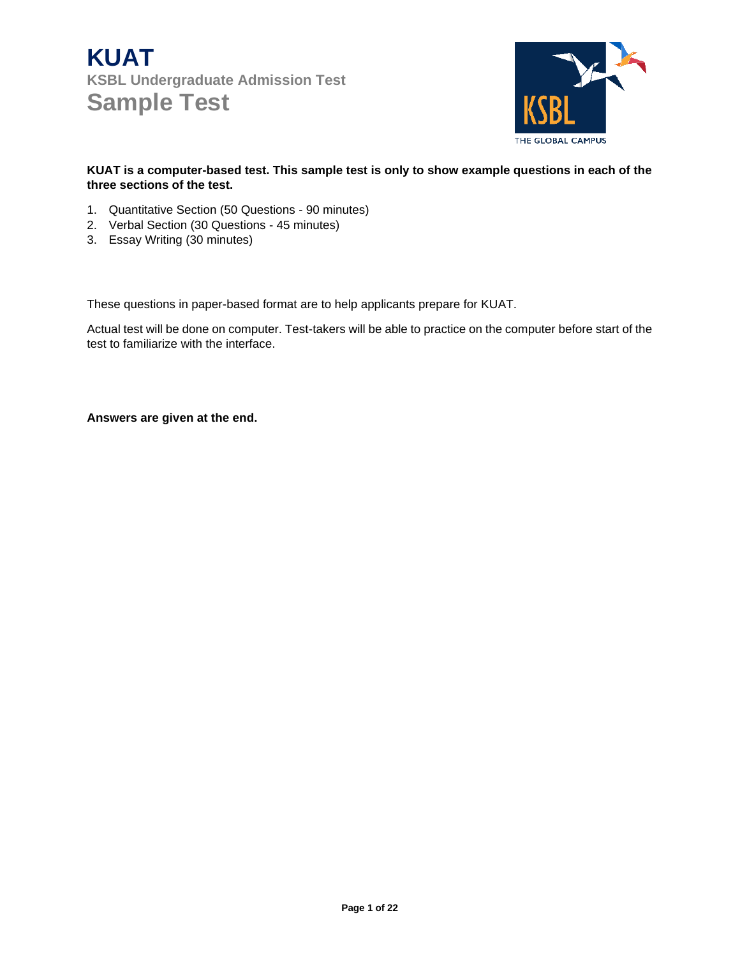### **KUAT KSBL Undergraduate Admission Test Sample Test**



#### **KUAT is a computer-based test. This sample test is only to show example questions in each of the three sections of the test.**

- 1. Quantitative Section (50 Questions 90 minutes)
- 2. Verbal Section (30 Questions 45 minutes)
- 3. Essay Writing (30 minutes)

These questions in paper-based format are to help applicants prepare for KUAT.

Actual test will be done on computer. Test-takers will be able to practice on the computer before start of the test to familiarize with the interface.

**Answers are given at the end.**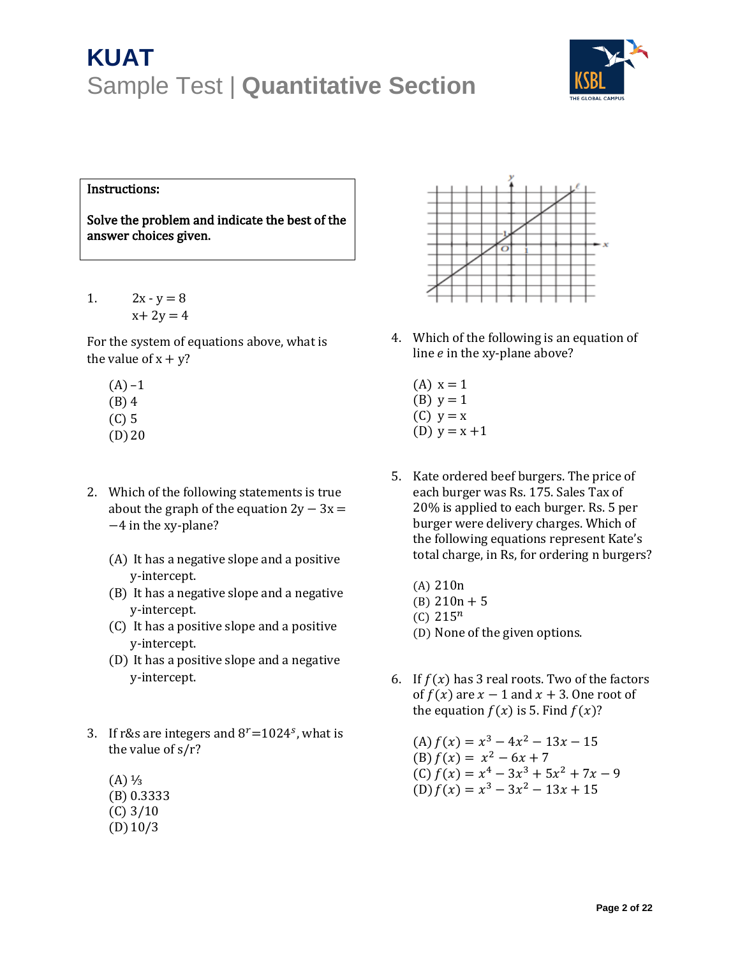

#### Instructions:

Solve the problem and indicate the best of the answer choices given.

1.  $2x - y = 8$  $x + 2y = 4$ 

For the system of equations above, what is the value of  $x + y$ ?

- $(A) 1$
- (B) 4
- (C) 5
- $(D)20$
- 2. Which of the following statements is true about the graph of the equation  $2y - 3x =$ −4 in the xy-plane?
	- (A) It has a negative slope and a positive y-intercept.
	- (B) It has a negative slope and a negative y-intercept.
	- (C) It has a positive slope and a positive y-intercept.
	- (D) It has a positive slope and a negative y-intercept.
- 3. If r&s are integers and  $8^r = 1024^s$ , what is the value of s/r?
	- $(A) \frac{1}{3}$
	- (B) 0.3333
	- (C) 3/10
	- (D)10/3



- 4. Which of the following is an equation of line  $e$  in the xy-plane above?
	- $(A) x = 1$ (B)  $y = 1$  $(C)$   $y = x$
	- (D)  $y = x + 1$
- 5. Kate ordered beef burgers. The price of each burger was Rs. 175. Sales Tax of 20% is applied to each burger. Rs. 5 per burger were delivery charges. Which of the following equations represent Kate's total charge, in Rs, for ordering n burgers?
	- (A) 210n
	- $(B)$  210n + 5
	- (C)  $215^n$
	- (D) None of the given options.
- 6. If  $f(x)$  has 3 real roots. Two of the factors of  $f(x)$  are  $x - 1$  and  $x + 3$ . One root of the equation  $f(x)$  is 5. Find  $f(x)$ ?
	- $(A) f(x) = x^3 4x^2 13x 15$ (B)  $f(x) = x^2 - 6x + 7$  $(C) f(x) = x^4 - 3x^3 + 5x^2 + 7x - 9$  $(D) f(x) = x^3 - 3x^2 - 13x + 15$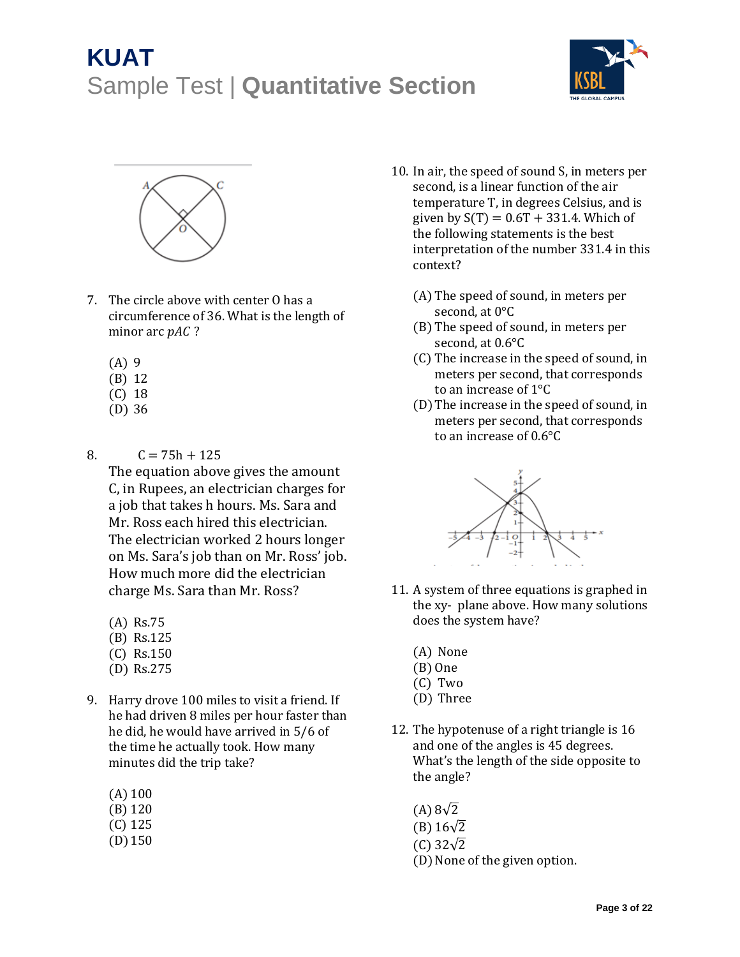



- 7. The circle above with center O has a circumference of 36. What is the length of minor arc  $pAC$ ?
	- (A) 9
	- (B) 12
	- (C) 18
	- (D) 36

8.  $C = 75h + 125$ 

The equation above gives the amount C, in Rupees, an electrician charges for a job that takes h hours. Ms. Sara and Mr. Ross each hired this electrician. The electrician worked 2 hours longer on Ms. Sara's job than on Mr. Ross' job. How much more did the electrician charge Ms. Sara than Mr. Ross?

- (A) Rs.75
- (B) Rs.125
- (C) Rs.150
- (D) Rs.275
- 9. Harry drove 100 miles to visit a friend. If he had driven 8 miles per hour faster than he did, he would have arrived in 5/6 of the time he actually took. How many minutes did the trip take?

| $(A)$ 100 |  |
|-----------|--|
|-----------|--|

- (B) 120
- (C) 125
- (D)150
- 10. In air, the speed of sound S, in meters per second, is a linear function of the air temperature T, in degrees Celsius, and is given by  $S(T) = 0.6T + 331.4$ . Which of the following statements is the best interpretation of the number 331.4 in this context?
	- (A) The speed of sound, in meters per second, at 0°C
	- (B) The speed of sound, in meters per second, at 0.6°C
	- (C) The increase in the speed of sound, in meters per second, that corresponds to an increase of 1°C
	- (D)The increase in the speed of sound, in meters per second, that corresponds to an increase of 0.6°C



- 11. A system of three equations is graphed in the xy- plane above. How many solutions does the system have?
	- (A) None
	- (B) One
	- (C) Two
	- (D) Three
- 12. The hypotenuse of a right triangle is 16 and one of the angles is 45 degrees. What's the length of the side opposite to the angle?
	- $(A)$   $8\sqrt{2}$
	- (B)  $16\sqrt{2}$
	- $(C)$  32 $\sqrt{2}$
	- (D) None of the given option.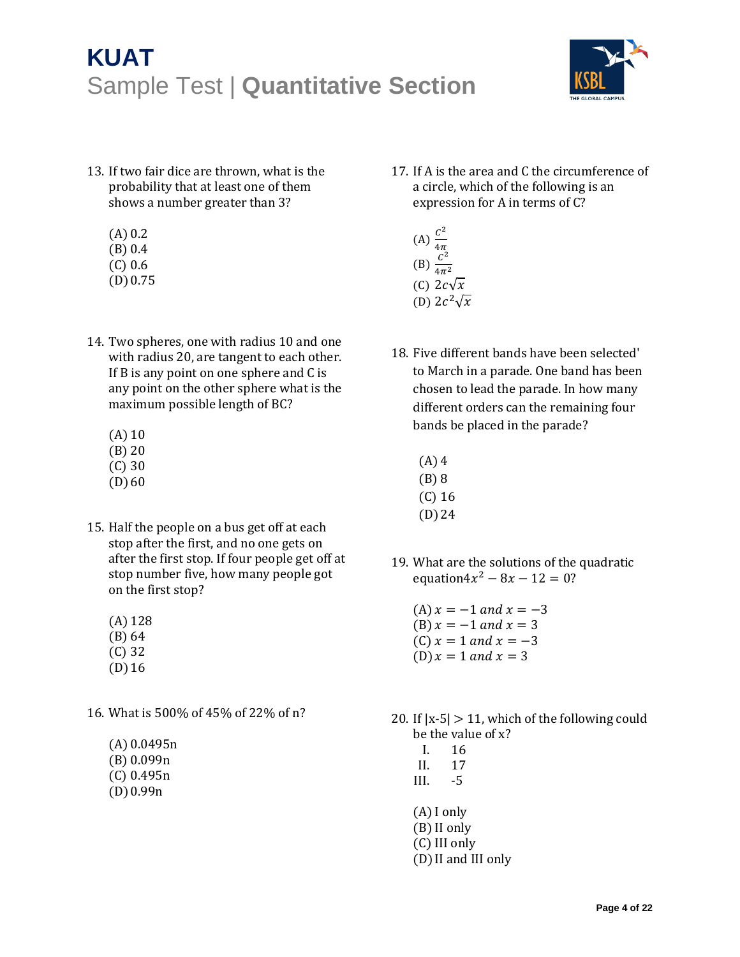

- 13. If two fair dice are thrown, what is the probability that at least one of them shows a number greater than 3?
	- (A) 0.2
	- (B) 0.4
	- (C) 0.6
	- $(D) 0.75$
- 14. Two spheres, one with radius 10 and one with radius 20, are tangent to each other. If B is any point on one sphere and C is any point on the other sphere what is the maximum possible length of BC?
	- (A) 10
	- (B) 20
	- (C) 30
	- $(D)60$
- 15. Half the people on a bus get off at each stop after the first, and no one gets on after the first stop. If four people get off at stop number five, how many people got on the first stop?
	- (A) 128
	- (B) 64
	- (C) 32
	- (D)16
- 16. What is 500% of 45% of 22% of n?
	- (A) 0.0495n
	- (B) 0.099n
	- (C) 0.495n
	- $(D) 0.99n$

17. If A is the area and C the circumference of a circle, which of the following is an expression for A in terms of C?

(A) 
$$
\frac{C^2}{4\pi}
$$
  
\n(B) 
$$
\frac{C^2}{4\pi^2}
$$
  
\n(C) 
$$
2c\sqrt{x}
$$
  
\n(D) 
$$
2c^2\sqrt{x}
$$

- 18. Five different bands have been selected' to March in a parade. One band has been chosen to lead the parade. In how many different orders can the remaining four bands be placed in the parade?
	- (A) 4 (B) 8
	- (C) 16 (D)24
- 19. What are the solutions of the quadratic equation $4x^2 - 8x - 12 = 0$ ?
	- (A)  $x = -1$  and  $x = -3$
	- (B)  $x = -1$  and  $x = 3$
	- (C)  $x = 1$  and  $x = -3$ (D)  $x = 1$  and  $x = 3$
- 20. If  $|x-5| > 11$ , which of the following could be the value of x?
	- I. 16
	- II. 17
	- III. -5
	- (A) I only
	- (B) II only
	- (C) III only
	- (D) II and III only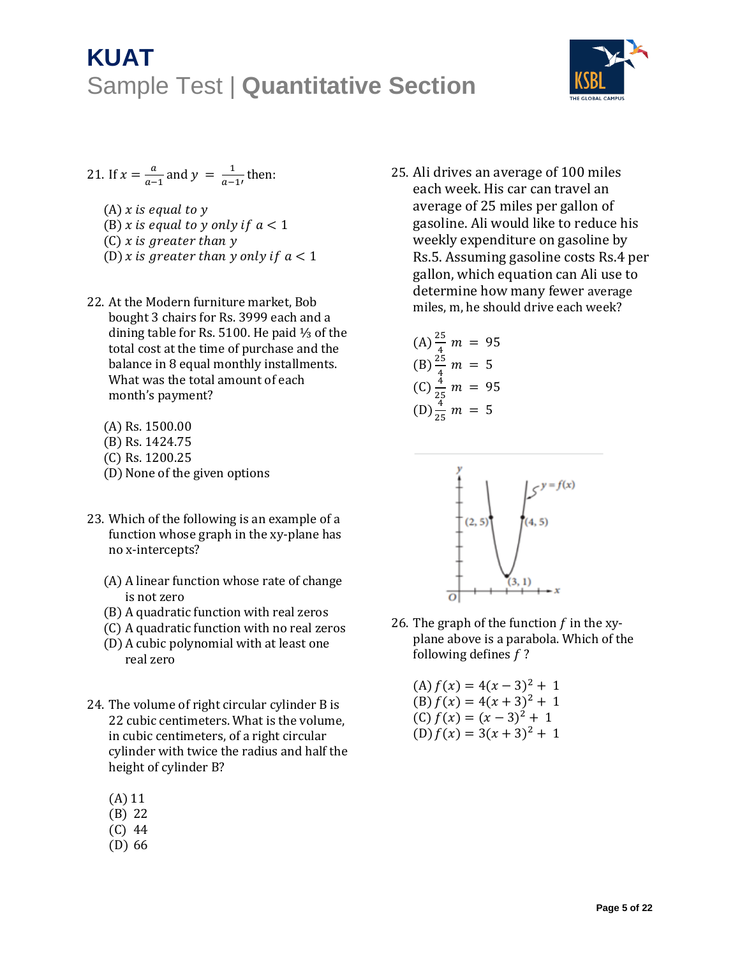

21. If 
$$
x = \frac{a}{a-1}
$$
 and  $y = \frac{1}{a-1}$ , then:

(A) x is equal to  $y$ (B) x is equal to y only if  $a < 1$  $(C)$  x is greater than y (D) x is greater than y only if  $a < 1$ 

- 22. At the Modern furniture market, Bob bought 3 chairs for Rs. 3999 each and a dining table for Rs. 5100. He paid ⅓ of the total cost at the time of purchase and the balance in 8 equal monthly installments. What was the total amount of each month's payment?
	- (A) Rs. 1500.00
	- (B) Rs. 1424.75
	- (C) Rs. 1200.25
	- (D) None of the given options
- 23. Which of the following is an example of a function whose graph in the xy-plane has no x-intercepts?
	- (A) A linear function whose rate of change is not zero
	- (B) A quadratic function with real zeros
	- (C) A quadratic function with no real zeros
	- (D)A cubic polynomial with at least one real zero
- 24. The volume of right circular cylinder B is 22 cubic centimeters. What is the volume, in cubic centimeters, of a right circular cylinder with twice the radius and half the height of cylinder B?
	- (A) 11
	- (B) 22
	- (C) 44
	- (D) 66

25. Ali drives an average of 100 miles each week. His car can travel an average of 25 miles per gallon of gasoline. Ali would like to reduce his weekly expenditure on gasoline by Rs.5. Assuming gasoline costs Rs.4 per gallon, which equation can Ali use to determine how many fewer average miles, m, he should drive each week?

(A) 
$$
\frac{25}{4}
$$
 m = 95  
\n(B)  $\frac{25}{4}$  m = 5  
\n(C)  $\frac{4}{25}$  m = 95  
\n(D)  $\frac{4}{25}$  m = 5



26. The graph of the function  $f$  in the xyplane above is a parabola. Which of the following defines  $f$  ?

(A) 
$$
f(x) = 4(x - 3)^2 + 1
$$
  
\n(B)  $f(x) = 4(x + 3)^2 + 1$   
\n(C)  $f(x) = (x - 3)^2 + 1$   
\n(D)  $f(x) = 3(x + 3)^2 + 1$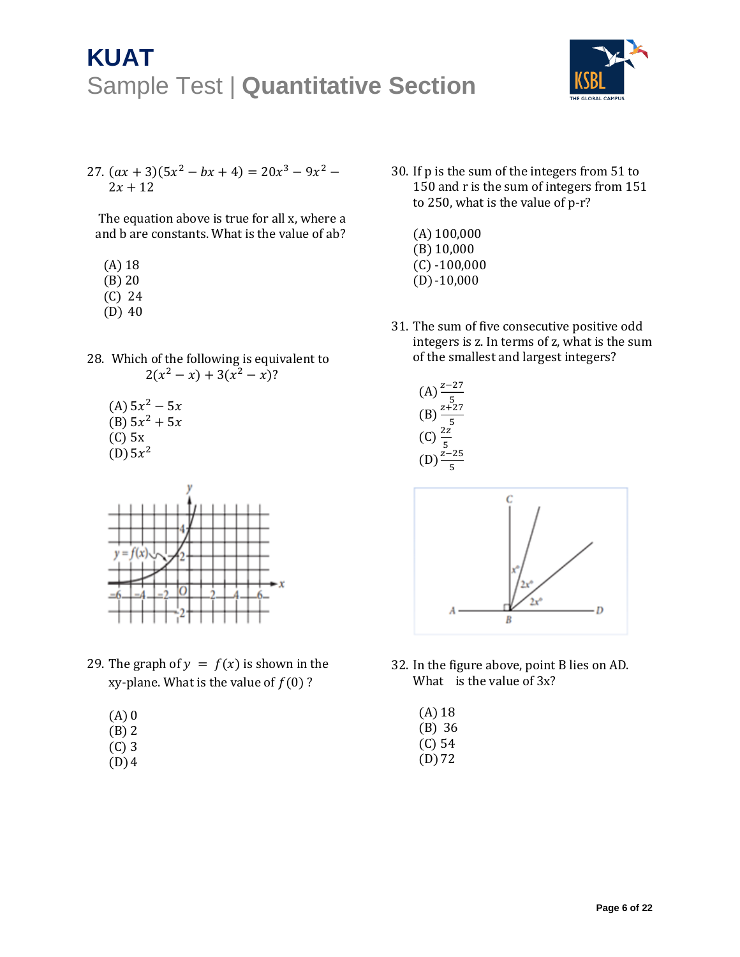

27.  $(ax + 3)(5x^2 - bx + 4) = 20x^3 - 9x^2 2x + 12$ 

The equation above is true for all x, where a and b are constants. What is the value of ab?

- (A) 18
- (B) 20
- (C) 24
- (D) 40
- 28. Which of the following is equivalent to  $2(x^2-x)+3(x^2-x)$ ?
	- $(A)$  5 $x^2 5x$ (B)  $5x^2 + 5x$ (C) 5x  $(D) 5x^2$



- 29. The graph of  $y = f(x)$  is shown in the xy-plane. What is the value of  $f(0)$ ?
	- (A) 0
	- (B) 2
	- (C) 3
	- $(D)4$
- 30. If p is the sum of the integers from 51 to 150 and r is the sum of integers from 151 to 250, what is the value of p-r?
	- (A) 100,000 (B) 10,000 (C) -100,000  $(D) -10,000$
- 31. The sum of five consecutive positive odd integers is z. In terms of z, what is the sum of the smallest and largest integers?
	- $(A) \frac{z-27}{5}$ 5  $(B) \frac{z+27}{5}$ 5  $(C)$ <sup>2z</sup> 5  $(D) \frac{z-25}{5}$ 5



- 32. In the figure above, point B lies on AD. What is the value of 3x?
	- (A) 18 (B) 36 (C) 54
	- $(D)72$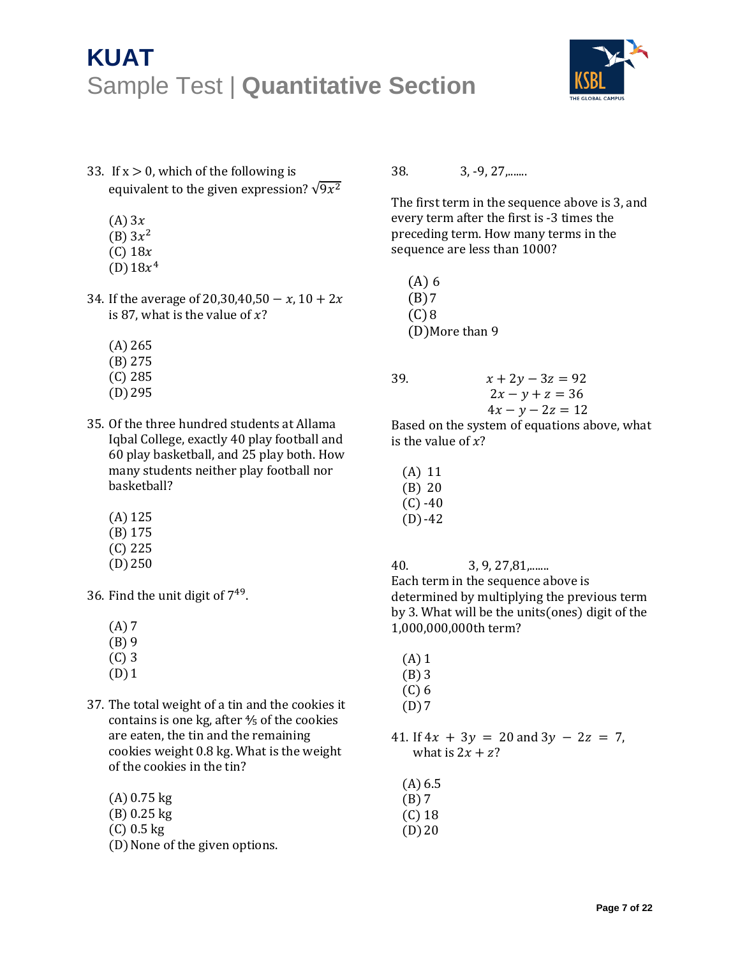

- 33. If  $x > 0$ , which of the following is equivalent to the given expression?  $\sqrt{9\chi^2}$ 
	- $(A)$  3x
	- $(B)$  3 $x^2$
	- $(C)$  18x
	- $(D) 18x<sup>4</sup>$
- 34. If the average of 20,30,40,50  $-x$ , 10  $+ 2x$ is 87, what is the value of  $x$ ?
	- (A) 265
	- (B) 275
	- (C) 285
	- (D)295
- 35. Of the three hundred students at Allama Iqbal College, exactly 40 play football and 60 play basketball, and 25 play both. How many students neither play football nor basketball?
	- (A) 125
	- (B) 175
	- (C) 225
	- (D)250
- 36. Find the unit digit of  $7<sup>49</sup>$ .
	- (A) 7
	- (B) 9
	- (C) 3
	- $(D)1$
- 37. The total weight of a tin and the cookies it contains is one kg, after  $\frac{4}{5}$  of the cookies are eaten, the tin and the remaining cookies weight 0.8 kg. What is the weight of the cookies in the tin?

| $(A)$ 0.75 kg |  |  |
|---------------|--|--|
|---------------|--|--|

- (B) 0.25 kg
- (C) 0.5 kg
- (D) None of the given options.

38. 3, -9, 27,.......

The first term in the sequence above is 3, and every term after the first is -3 times the preceding term. How many terms in the sequence are less than 1000?

(A) 6  $(B)7$  $(C)8$ (D)More than 9

39. 
$$
x + 2y - 3z = 92
$$

$$
2x - y + z = 36
$$

$$
4x - y - 2z = 12
$$

Based on the system of equations above, what is the value of  $x$ ?

(A) 11 (B) 20  $(C) -40$  $(D) -42$ 

40. 3, 9, 27,81,....... Each term in the sequence above is determined by multiplying the previous term by 3. What will be the units(ones) digit of the 1,000,000,000th term?

- (A) 1
- (B) 3
- (C) 6
- $(D)7$

41. If  $4x + 3y = 20$  and  $3y - 2z = 7$ , what is  $2x + z$ ?

- (A) 6.5
- (B) 7
- (C) 18
- $(D)20$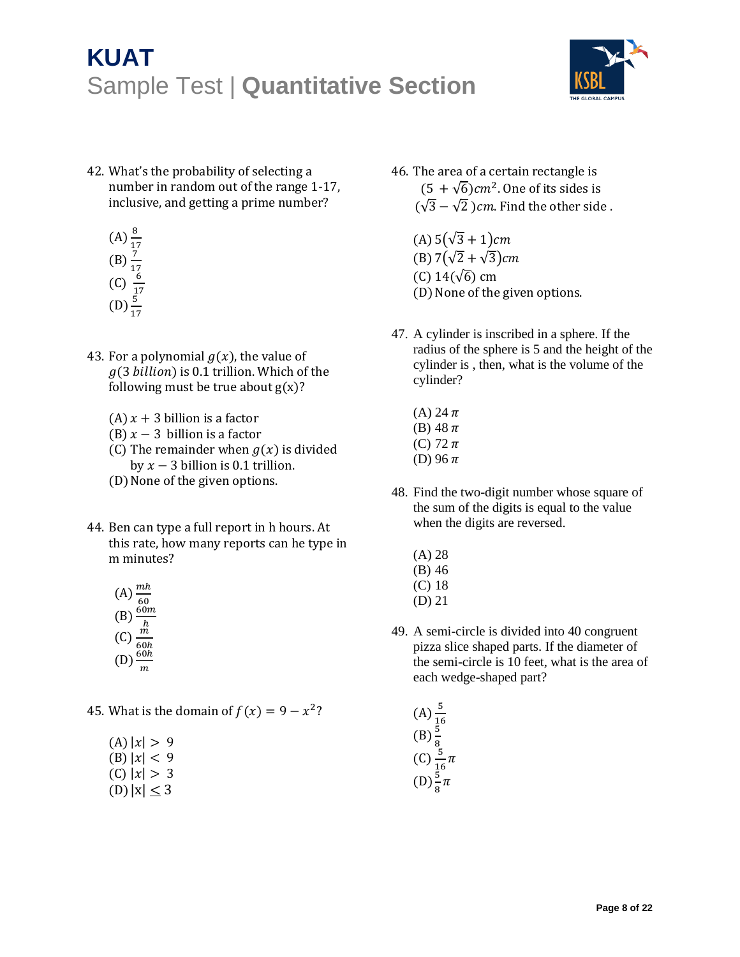

42. What's the probability of selecting a number in random out of the range 1-17, inclusive, and getting a prime number?

(A) 
$$
\frac{8}{17}
$$
  
\n(B)  $\frac{7}{17}$   
\n(C)  $\frac{6}{17}$ 

- $(D) \frac{5}{17}$
- 43. For a polynomial  $g(x)$ , the value of  $g(3 \text{ billion})$  is 0.1 trillion. Which of the following must be true about  $g(x)$ ?
	- (A)  $x + 3$  billion is a factor
	- (B)  $x 3$  billion is a factor
	- (C) The remainder when  $q(x)$  is divided by  $x - 3$  billion is 0.1 trillion.
	- (D) None of the given options.
- 44. Ben can type a full report in h hours. At this rate, how many reports can he type in m minutes?

(A) 
$$
\frac{mh}{60}
$$
  
(B) 
$$
\frac{60m}{h}
$$
  
(C) 
$$
\frac{m}{60h}
$$
  
(D) 
$$
\frac{60h}{m}
$$

45. What is the domain of  $f(x) = 9 - x^2$ ?

 $(A) |x| > 9$ (B)  $|x| < 9$ (C)  $|x| > 3$ 

(D)  $|x| \le 3$ 

- 46. The area of a certain rectangle is  $(5 + \sqrt{6})$ *cm*<sup>2</sup>. One of its sides is  $(\sqrt{3} - \sqrt{2})$  cm. Find the other side.
	- (A)  $5(\sqrt{3} + 1)$ *cm* (B)  $7(\sqrt{2} + \sqrt{3})$ *cm* (C)  $14(\sqrt{6})$  cm (D) None of the given options.
- 47. A cylinder is inscribed in a sphere. If the radius of the sphere is 5 and the height of the cylinder is , then, what is the volume of the cylinder?
	- (A) 24  $\pi$
	- (B) 48 $\pi$ (C) 72 $\pi$
	- (D) 96 $\pi$
- 48. Find the two-digit number whose square of the sum of the digits is equal to the value when the digits are reversed.
	- (A) 28
	- (B) 46
	- (C) 18
	- (D) 21
- 49. A semi-circle is divided into 40 congruent pizza slice shaped parts. If the diameter of the semi-circle is 10 feet, what is the area of each wedge-shaped part?

(A) 
$$
\frac{5}{16}
$$
  
\n(B)  $\frac{5}{8}$   
\n(C)  $\frac{5}{16}\pi$   
\n(D)  $\frac{5}{8}\pi$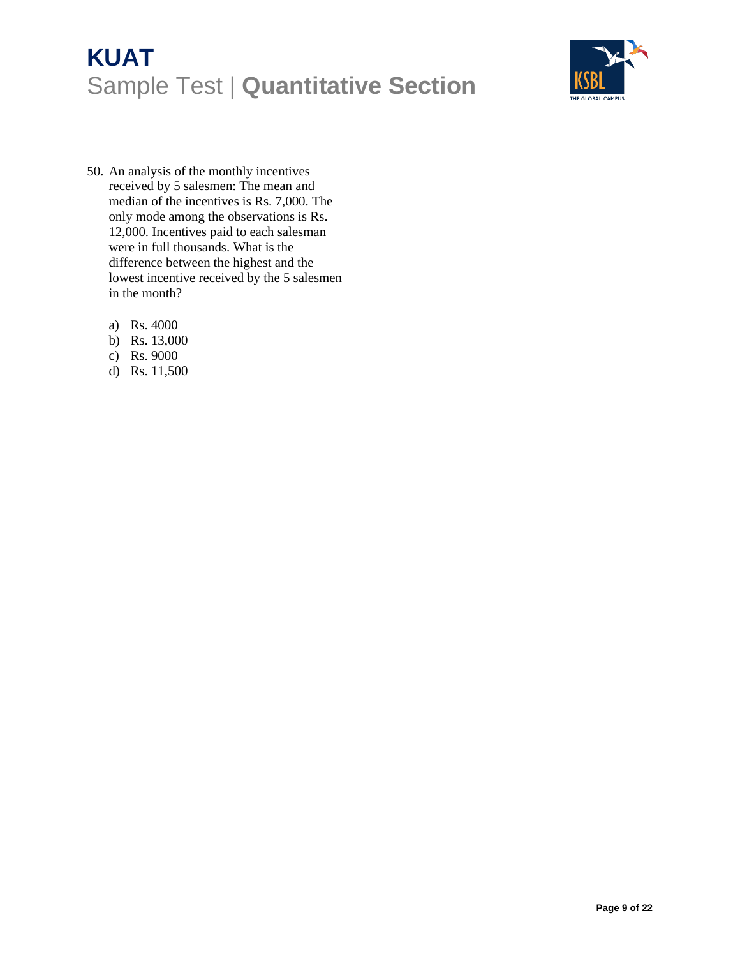

- 50. An analysis of the monthly incentives received by 5 salesmen: The mean and median of the incentives is Rs. 7,000. The only mode among the observations is Rs. 12,000. Incentives paid to each salesman were in full thousands. What is the difference between the highest and the lowest incentive received by the 5 salesmen in the month?
	- a) Rs. 4000
	- b) Rs. 13,000
	- c) Rs. 9000
	- d) Rs. 11,500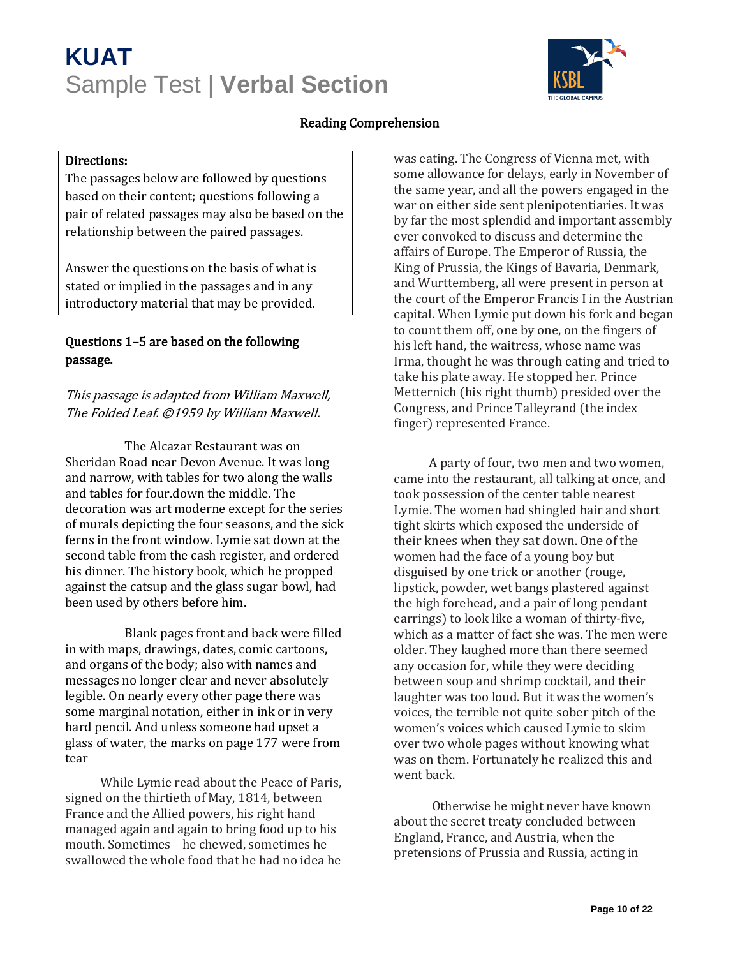

#### Reading Comprehension

#### Directions:

The passages below are followed by questions based on their content; questions following a pair of related passages may also be based on the relationship between the paired passages.

Answer the questions on the basis of what is stated or implied in the passages and in any introductory material that may be provided.

#### Questions 1–5 are based on the following passage.

### This passage is adapted from William Maxwell, The Folded Leaf. ©1959 by William Maxwell.

 The Alcazar Restaurant was on Sheridan Road near Devon Avenue. It was long and narrow, with tables for two along the walls and tables for four.down the middle. The decoration was art moderne except for the series of murals depicting the four seasons, and the sick ferns in the front window. Lymie sat down at the second table from the cash register, and ordered his dinner. The history book, which he propped against the catsup and the glass sugar bowl, had been used by others before him.

 Blank pages front and back were filled in with maps, drawings, dates, comic cartoons, and organs of the body; also with names and messages no longer clear and never absolutely legible. On nearly every other page there was some marginal notation, either in ink or in very hard pencil. And unless someone had upset a glass of water, the marks on page 177 were from tear

 While Lymie read about the Peace of Paris, signed on the thirtieth of May, 1814, between France and the Allied powers, his right hand managed again and again to bring food up to his mouth. Sometimes he chewed, sometimes he swallowed the whole food that he had no idea he was eating. The Congress of Vienna met, with some allowance for delays, early in November of the same year, and all the powers engaged in the war on either side sent plenipotentiaries. It was by far the most splendid and important assembly ever convoked to discuss and determine the affairs of Europe. The Emperor of Russia, the King of Prussia, the Kings of Bavaria, Denmark, and Wurttemberg, all were present in person at the court of the Emperor Francis I in the Austrian capital. When Lymie put down his fork and began to count them off, one by one, on the fingers of his left hand, the waitress, whose name was Irma, thought he was through eating and tried to take his plate away. He stopped her. Prince Metternich (his right thumb) presided over the Congress, and Prince Talleyrand (the index finger) represented France.

 A party of four, two men and two women, came into the restaurant, all talking at once, and took possession of the center table nearest Lymie. The women had shingled hair and short tight skirts which exposed the underside of their knees when they sat down. One of the women had the face of a young boy but disguised by one trick or another (rouge, lipstick, powder, wet bangs plastered against the high forehead, and a pair of long pendant earrings) to look like a woman of thirty-five, which as a matter of fact she was. The men were older. They laughed more than there seemed any occasion for, while they were deciding between soup and shrimp cocktail, and their laughter was too loud. But it was the women's voices, the terrible not quite sober pitch of the women's voices which caused Lymie to skim over two whole pages without knowing what was on them. Fortunately he realized this and went back.

 Otherwise he might never have known about the secret treaty concluded between England, France, and Austria, when the pretensions of Prussia and Russia, acting in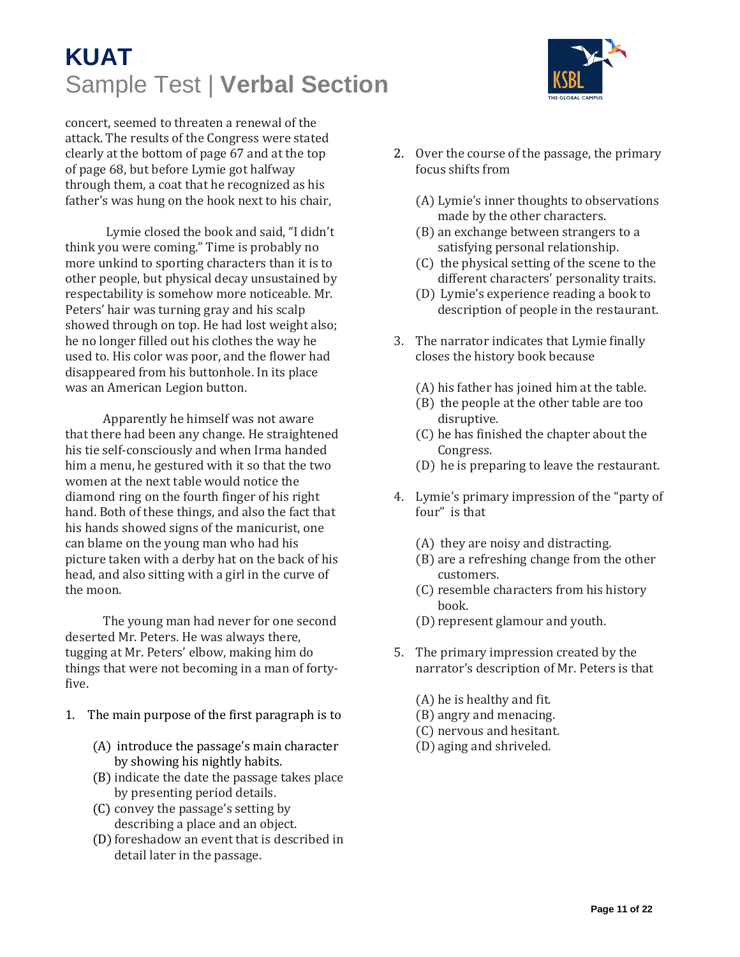

concert, seemed to threaten a renewal of the attack. The results of the Congress were stated clearly at the bottom of page 67 and at the top of page 68, but before Lymie got halfway through them, a coat that he recognized as his father's was hung on the hook next to his chair,

 Lymie closed the book and said, "I didn't think you were coming." Time is probably no more unkind to sporting characters than it is to other people, but physical decay unsustained by respectability is somehow more noticeable. Mr. Peters' hair was turning gray and his scalp showed through on top. He had lost weight also; he no longer filled out his clothes the way he used to. His color was poor, and the flower had disappeared from his buttonhole. In its place was an American Legion button.

 Apparently he himself was not aware that there had been any change. He straightened his tie self-consciously and when Irma handed him a menu, he gestured with it so that the two women at the next table would notice the diamond ring on the fourth finger of his right hand. Both of these things, and also the fact that his hands showed signs of the manicurist, one can blame on the young man who had his picture taken with a derby hat on the back of his head, and also sitting with a girl in the curve of the moon.

 The young man had never for one second deserted Mr. Peters. He was always there, tugging at Mr. Peters' elbow, making him do things that were not becoming in a man of fortyfive.

- 1. The main purpose of the first paragraph is to
	- (A) introduce the passage's main character by showing his nightly habits.
	- (B) indicate the date the passage takes place by presenting period details.
	- (C) convey the passage's setting by describing a place and an object.
	- (D) foreshadow an event that is described in detail later in the passage.
- 2. Over the course of the passage, the primary focus shifts from
	- (A) Lymie's inner thoughts to observations made by the other characters.
	- (B) an exchange between strangers to a satisfying personal relationship.
	- (C) the physical setting of the scene to the different characters' personality traits.
	- (D) Lymie's experience reading a book to description of people in the restaurant.
- 3. The narrator indicates that Lymie finally closes the history book because
	- (A) his father has joined him at the table.
	- (B) the people at the other table are too disruptive.
	- (C) he has finished the chapter about the Congress.
	- (D) he is preparing to leave the restaurant.
- 4. Lymie's primary impression of the "party of four" is that
	- (A) they are noisy and distracting.
	- (B) are a refreshing change from the other customers.
	- (C) resemble characters from his history book.
	- (D) represent glamour and youth.
- 5. The primary impression created by the narrator's description of Mr. Peters is that
	- (A) he is healthy and fit.
	- (B) angry and menacing.
	- (C) nervous and hesitant.
	- (D) aging and shriveled.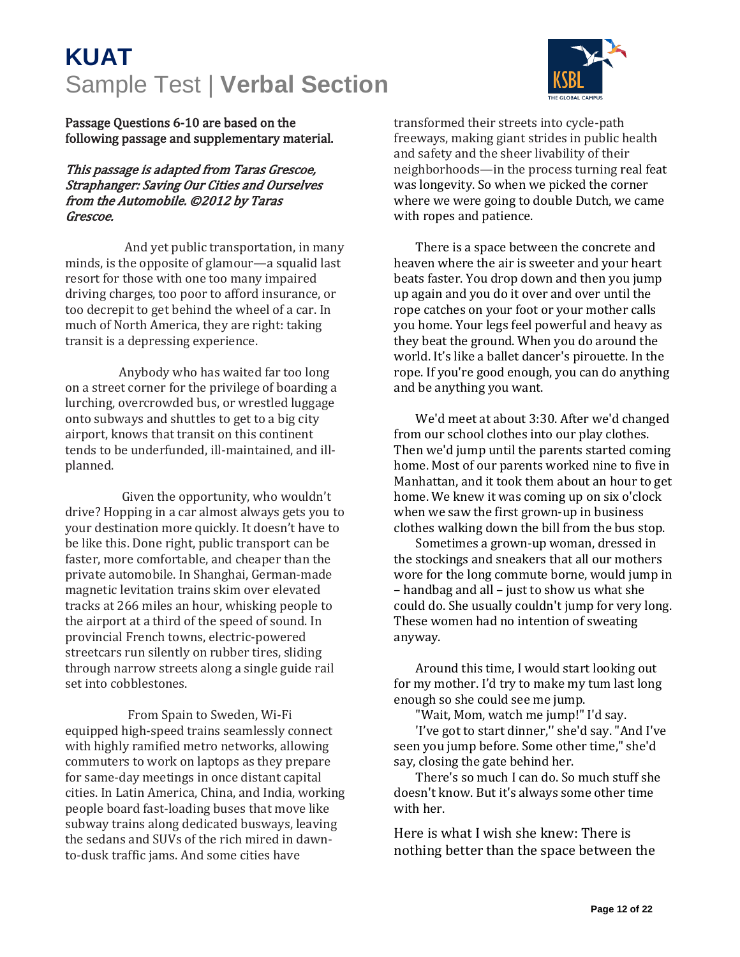

Passage Questions 6-10 are based on the following passage and supplementary material.

This passage is adapted from Taras Grescoe, Straphanger: Saving Our Cities and Ourselves from the Automobile. ©2012 by Taras Grescoe.

 And yet public transportation, in many minds, is the opposite of glamour—a squalid last resort for those with one too many impaired driving charges, too poor to afford insurance, or too decrepit to get behind the wheel of a car. In much of North America, they are right: taking transit is a depressing experience.

 Anybody who has waited far too long on a street corner for the privilege of boarding a lurching, overcrowded bus, or wrestled luggage onto subways and shuttles to get to a big city airport, knows that transit on this continent tends to be underfunded, ill-maintained, and illplanned.

 Given the opportunity, who wouldn't drive? Hopping in a car almost always gets you to your destination more quickly. It doesn't have to be like this. Done right, public transport can be faster, more comfortable, and cheaper than the private automobile. In Shanghai, German-made magnetic levitation trains skim over elevated tracks at 266 miles an hour, whisking people to the airport at a third of the speed of sound. In provincial French towns, electric-powered streetcars run silently on rubber tires, sliding through narrow streets along a single guide rail set into cobblestones.

 From Spain to Sweden, Wi-Fi equipped high-speed trains seamlessly connect with highly ramified metro networks, allowing commuters to work on laptops as they prepare for same-day meetings in once distant capital cities. In Latin America, China, and India, working people board fast-loading buses that move like subway trains along dedicated busways, leaving the sedans and SUVs of the rich mired in dawnto-dusk traffic jams. And some cities have

transformed their streets into cycle-path freeways, making giant strides in public health and safety and the sheer livability of their neighborhoods—in the process turning real feat was longevity. So when we picked the corner where we were going to double Dutch, we came with ropes and patience.

There is a space between the concrete and heaven where the air is sweeter and your heart beats faster. You drop down and then you jump up again and you do it over and over until the rope catches on your foot or your mother calls you home. Your legs feel powerful and heavy as they beat the ground. When you do around the world. It's like a ballet dancer's pirouette. In the rope. If you're good enough, you can do anything and be anything you want.

We'd meet at about 3:30. After we'd changed from our school clothes into our play clothes. Then we'd jump until the parents started coming home. Most of our parents worked nine to five in Manhattan, and it took them about an hour to get home. We knew it was coming up on six o'clock when we saw the first grown-up in business clothes walking down the bill from the bus stop.

Sometimes a grown-up woman, dressed in the stockings and sneakers that all our mothers wore for the long commute borne, would jump in – handbag and all – just to show us what she could do. She usually couldn't jump for very long. These women had no intention of sweating anyway.

Around this time, I would start looking out for my mother. I'd try to make my tum last long enough so she could see me jump.

"Wait, Mom, watch me jump!" I'd say.

'I've got to start dinner,'' she'd say. "And I've seen you jump before. Some other time," she'd say, closing the gate behind her.

There's so much I can do. So much stuff she doesn't know. But it's always some other time with her.

Here is what I wish she knew: There is nothing better than the space between the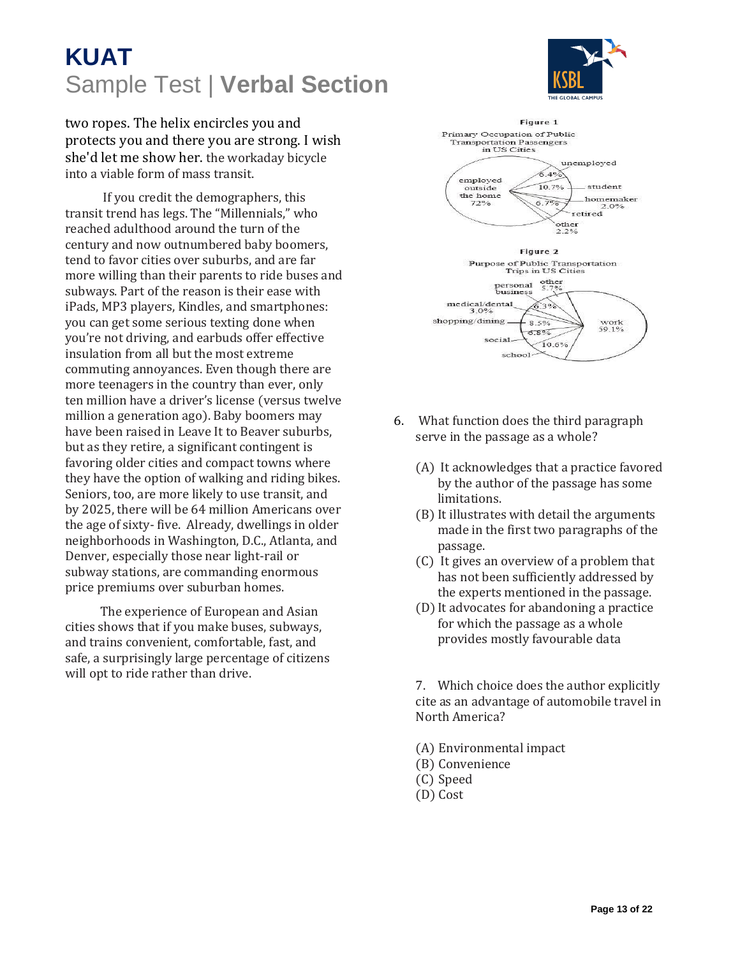two ropes. The helix encircles you and protects you and there you are strong. I wish she'd let me show her. the workaday bicycle into a viable form of mass transit.

 If you credit the demographers, this transit trend has legs. The "Millennials," who reached adulthood around the turn of the century and now outnumbered baby boomers, tend to favor cities over suburbs, and are far more willing than their parents to ride buses and subways. Part of the reason is their ease with iPads, MP3 players, Kindles, and smartphones: you can get some serious texting done when you're not driving, and earbuds offer effective insulation from all but the most extreme commuting annoyances. Even though there are more teenagers in the country than ever, only ten million have a driver's license (versus twelve million a generation ago). Baby boomers may have been raised in Leave It to Beaver suburbs, but as they retire, a significant contingent is favoring older cities and compact towns where they have the option of walking and riding bikes. Seniors, too, are more likely to use transit, and by 2025, there will be 64 million Americans over the age of sixty- five. Already, dwellings in older neighborhoods in Washington, D.C., Atlanta, and Denver, especially those near light-rail or subway stations, are commanding enormous price premiums over suburban homes.

 The experience of European and Asian cities shows that if you make buses, subways, and trains convenient, comfortable, fast, and safe, a surprisingly large percentage of citizens will opt to ride rather than drive.





- 6. What function does the third paragraph serve in the passage as a whole?
	- (A) It acknowledges that a practice favored by the author of the passage has some limitations.
	- (B) It illustrates with detail the arguments made in the first two paragraphs of the passage.
	- (C) It gives an overview of a problem that has not been sufficiently addressed by the experts mentioned in the passage.
	- (D) It advocates for abandoning a practice for which the passage as a whole provides mostly favourable data

7. Which choice does the author explicitly cite as an advantage of automobile travel in North America?

- (A) Environmental impact
- (B) Convenience
- (C) Speed
- (D) Cost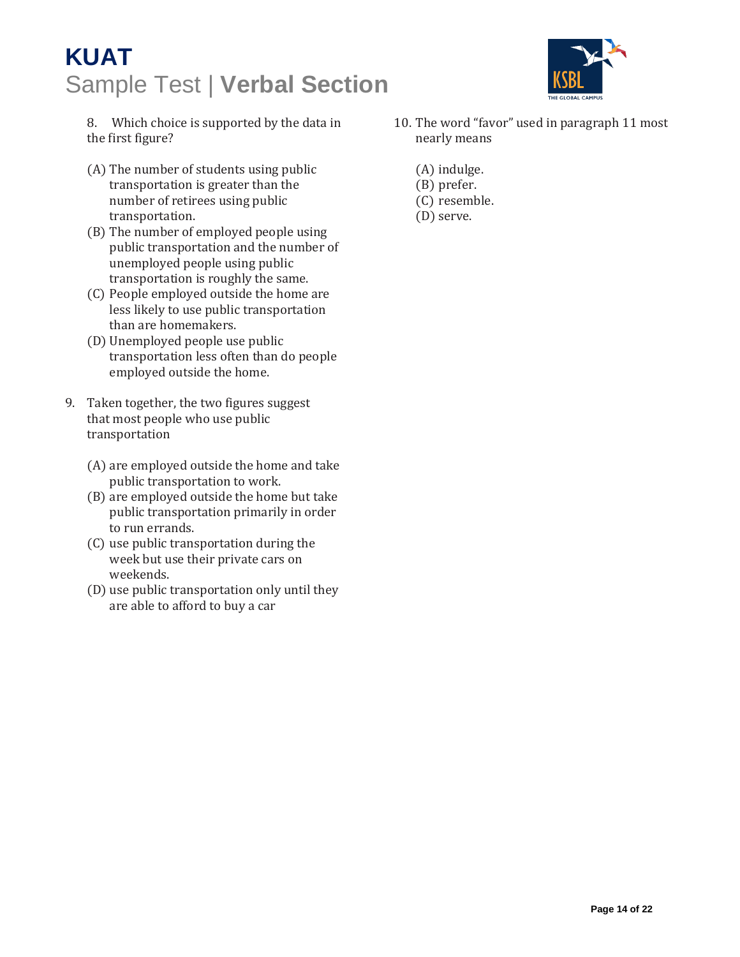

8. Which choice is supported by the data in the first figure?

- (A) The number of students using public transportation is greater than the number of retirees using public transportation.
- (B) The number of employed people using public transportation and the number of unemployed people using public transportation is roughly the same.
- (C) People employed outside the home are less likely to use public transportation than are homemakers.
- (D) Unemployed people use public transportation less often than do people employed outside the home.
- 9. Taken together, the two figures suggest that most people who use public transportation
	- (A) are employed outside the home and take public transportation to work.
	- (B) are employed outside the home but take public transportation primarily in order to run errands.
	- (C) use public transportation during the week but use their private cars on weekends.
	- (D) use public transportation only until they are able to afford to buy a car
- 10. The word "favor" used in paragraph 11 most nearly means
	- (A) indulge.
	- (B) prefer.
	- (C) resemble.
	- (D) serve.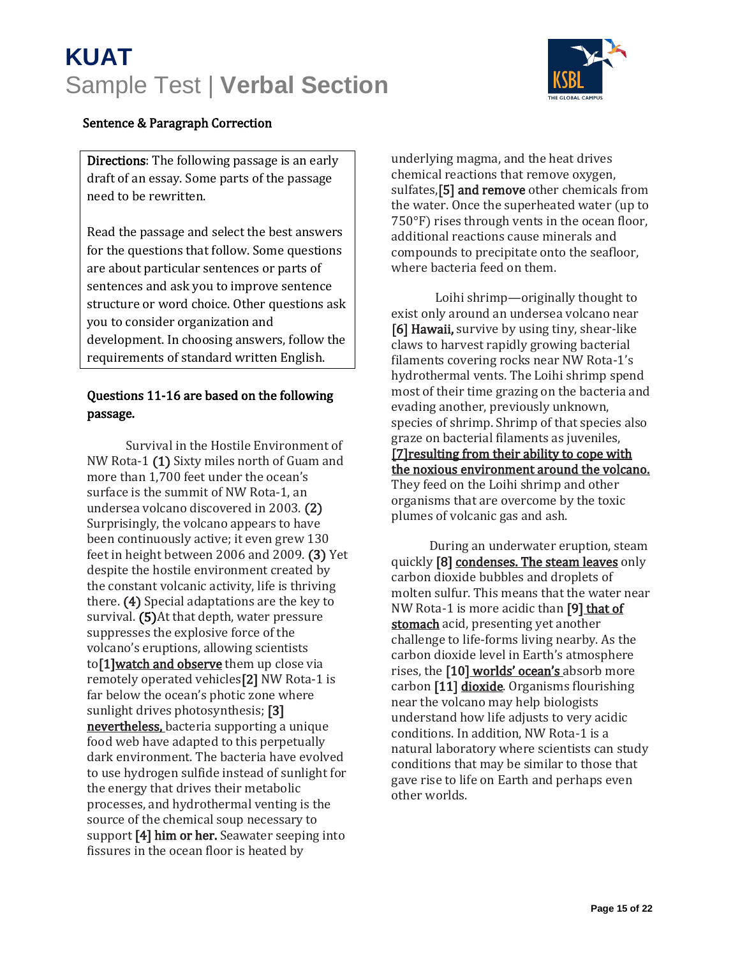

#### Sentence & Paragraph Correction

Directions: The following passage is an early draft of an essay. Some parts of the passage need to be rewritten.

Read the passage and select the best answers for the questions that follow. Some questions are about particular sentences or parts of sentences and ask you to improve sentence structure or word choice. Other questions ask you to consider organization and development. In choosing answers, follow the requirements of standard written English.

#### Questions 11-16 are based on the following passage.

 Survival in the Hostile Environment of NW Rota-1 (1) Sixty miles north of Guam and more than 1,700 feet under the ocean's surface is the summit of NW Rota-1, an undersea volcano discovered in 2003. (2) Surprisingly, the volcano appears to have been continuously active; it even grew 130 feet in height between 2006 and 2009. (3) Yet despite the hostile environment created by the constant volcanic activity, life is thriving there. (4) Special adaptations are the key to survival. (5)At that depth, water pressure suppresses the explosive force of the volcano's eruptions, allowing scientists to[1]watch and observe them up close via remotely operated vehicles[2] NW Rota-1 is far below the ocean's photic zone where sunlight drives photosynthesis; [3] nevertheless, bacteria supporting a unique food web have adapted to this perpetually dark environment. The bacteria have evolved to use hydrogen sulfide instead of sunlight for the energy that drives their metabolic processes, and hydrothermal venting is the source of the chemical soup necessary to support [4] him or her. Seawater seeping into fissures in the ocean floor is heated by

underlying magma, and the heat drives chemical reactions that remove oxygen, sulfates,<sup>[5]</sup> and remove other chemicals from the water. Once the superheated water (up to 750°F) rises through vents in the ocean floor, additional reactions cause minerals and compounds to precipitate onto the seafloor, where bacteria feed on them.

 Loihi shrimp—originally thought to exist only around an undersea volcano near [6] Hawaii, survive by using tiny, shear-like claws to harvest rapidly growing bacterial filaments covering rocks near NW Rota-1's hydrothermal vents. The Loihi shrimp spend most of their time grazing on the bacteria and evading another, previously unknown, species of shrimp. Shrimp of that species also graze on bacterial filaments as juveniles, [7]resulting from their ability to cope with the noxious environment around the volcano. They feed on the Loihi shrimp and other organisms that are overcome by the toxic plumes of volcanic gas and ash.

 During an underwater eruption, steam quickly [8] condenses. The steam leaves only carbon dioxide bubbles and droplets of molten sulfur. This means that the water near NW Rota-1 is more acidic than [9] that of stomach acid, presenting yet another challenge to life-forms living nearby. As the carbon dioxide level in Earth's atmosphere rises, the [10] worlds' ocean's absorb more carbon [11] dioxide. Organisms flourishing near the volcano may help biologists understand how life adjusts to very acidic conditions. In addition, NW Rota-1 is a natural laboratory where scientists can study conditions that may be similar to those that gave rise to life on Earth and perhaps even other worlds.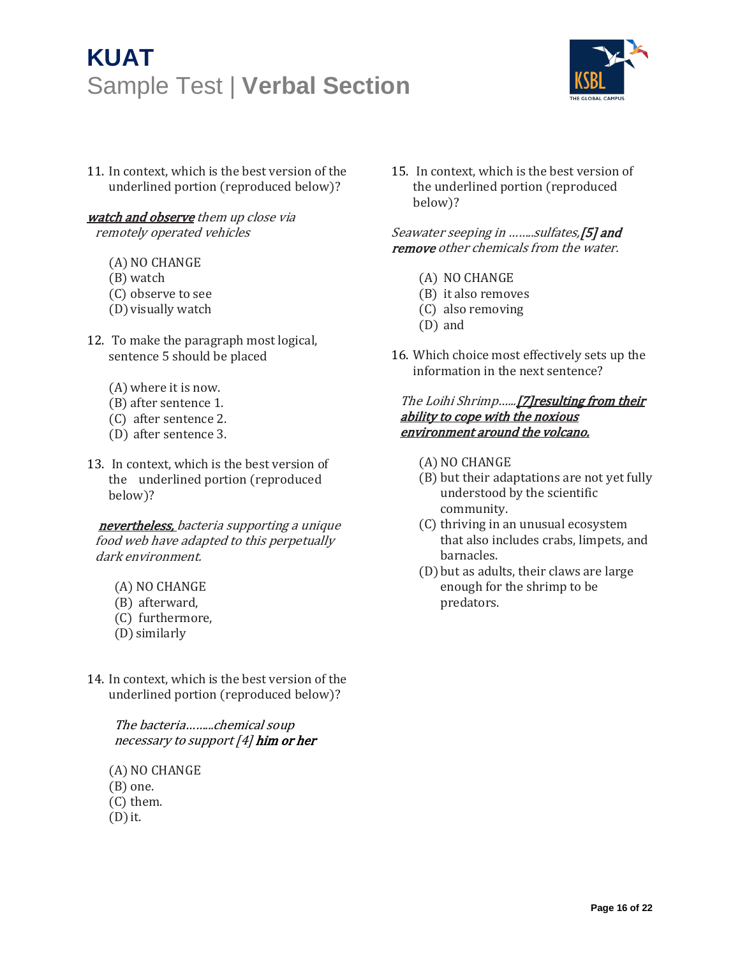

11. In context, which is the best version of the underlined portion (reproduced below)?

watch and observe them up close via remotely operated vehicles

- (A) NO CHANGE
- (B) watch
- (C) observe to see
- (D) visually watch
- 12. To make the paragraph most logical, sentence 5 should be placed
	- (A) where it is now.
	- (B) after sentence 1.
	- (C) after sentence 2.
	- (D) after sentence 3.
- 13. In context, which is the best version of the underlined portion (reproduced below)?

 nevertheless, bacteria supporting a unique food web have adapted to this perpetually dark environment.

- (A) NO CHANGE
- (B) afterward,
- (C) furthermore,
- (D) similarly
- 14. In context, which is the best version of the underlined portion (reproduced below)?

The bacteria……...chemical soup necessary to support [4] him or her

- (A) NO CHANGE (B) one. (C) them.
- (D) it.

15. In context, which is the best version of the underlined portion (reproduced below)?

Seawater seeping in .......sulfates,[5] and remove other chemicals from the water.

- (A) NO CHANGE
- (B) it also removes
- (C) also removing
- (D) and
- 16. Which choice most effectively sets up the information in the next sentence?

#### The Loihi Shrimp......[7]resulting from their ability to cope with the noxious environment around the volcano.

- (A) NO CHANGE
- (B) but their adaptations are not yet fully understood by the scientific community.
- (C) thriving in an unusual ecosystem that also includes crabs, limpets, and barnacles.
- (D) but as adults, their claws are large enough for the shrimp to be predators.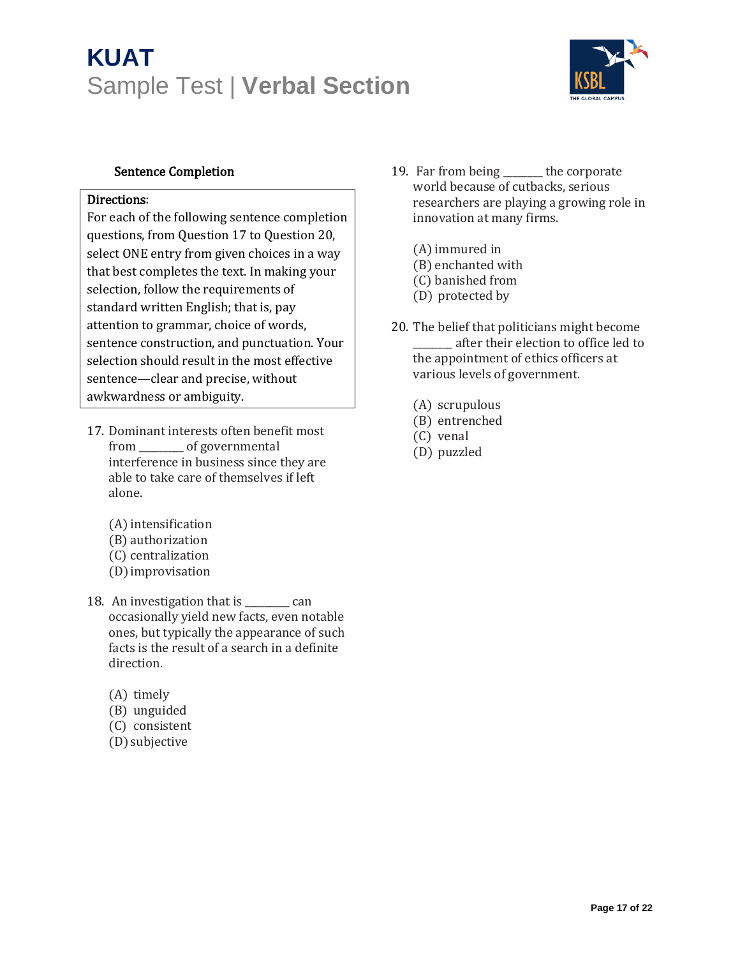

#### Sentence Completion

#### Directions:

For each of the following sentence completion questions, from Question 17 to Question 20, select ONE entry from given choices in a way that best completes the text. In making your selection, follow the requirements of standard written English; that is, pay attention to grammar, choice of words, sentence construction, and punctuation. Your selection should result in the most effective sentence—clear and precise, without awkwardness or ambiguity.

- 17. Dominant interests often benefit most from \_\_\_\_\_\_\_\_\_ of governmental interference in business since they are able to take care of themselves if left alone.
	- (A) intensification
	- (B) authorization
	- (C) centralization
	- (D) improvisation
- 18. An investigation that is \_\_\_\_\_\_\_ can occasionally yield new facts, even notable ones, but typically the appearance of such facts is the result of a search in a definite direction.
	- (A) timely
	- (B) unguided
	- (C) consistent
	- (D) subjective
- 19. Far from being the corporate world because of cutbacks, serious researchers are playing a growing role in innovation at many firms.
	- (A) immured in
	- (B) enchanted with
	- (C) banished from
	- (D) protected by
- 20. The belief that politicians might become \_\_\_\_\_\_\_\_ after their election to office led to the appointment of ethics officers at various levels of government.
	- (A) scrupulous
	- (B) entrenched
	- (C) venal
	- (D) puzzled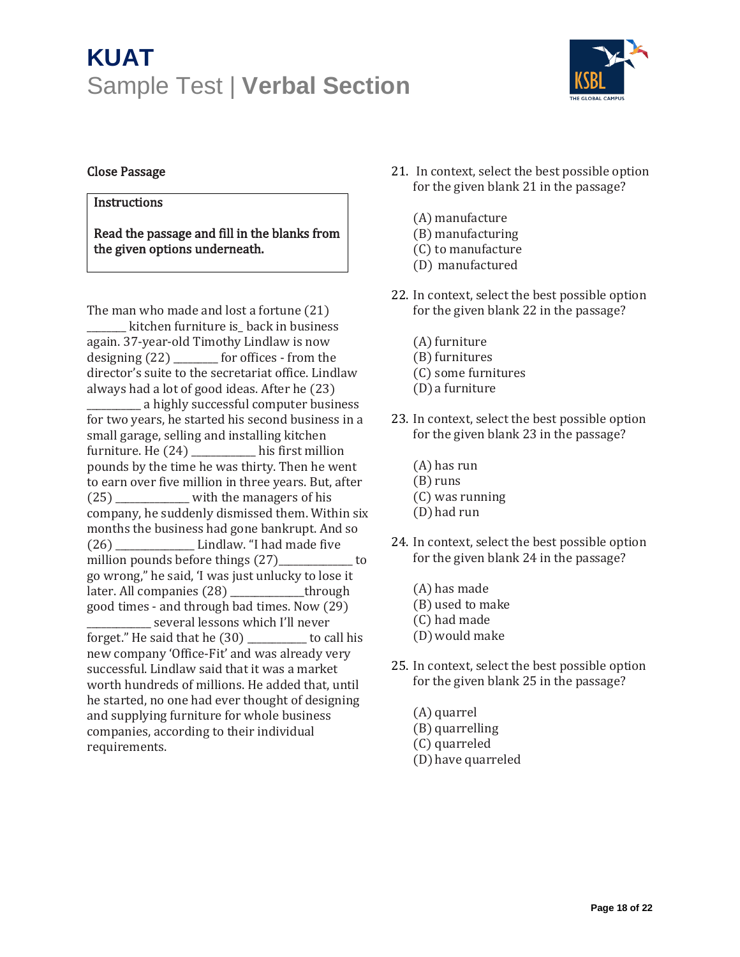

#### Close Passage

#### **Instructions**

Read the passage and fill in the blanks from the given options underneath.

The man who made and lost a fortune (21) \_\_\_\_\_\_\_\_ kitchen furniture is\_ back in business again. 37-year-old Timothy Lindlaw is now designing (22) for offices - from the director's suite to the secretariat office. Lindlaw always had a lot of good ideas. After he (23) \_\_\_\_\_\_\_\_\_\_\_ a highly successful computer business

for two years, he started his second business in a small garage, selling and installing kitchen furniture. He (24) \_\_\_\_\_\_\_\_\_\_\_\_\_ his first million pounds by the time he was thirty. Then he went to earn over five million in three years. But, after (25) with the managers of his  $\equiv$  with the managers of his company, he suddenly dismissed them. Within six months the business had gone bankrupt. And so (26) \_\_\_\_\_\_\_\_\_\_\_\_\_\_\_\_ Lindlaw. "I had made five million pounds before things  $(27)$ \_\_\_\_\_\_\_\_\_\_\_\_\_\_\_\_ to go wrong," he said, 'I was just unlucky to lose it later. All companies (28) \_\_\_\_\_\_\_\_\_\_\_\_\_\_\_through good times - and through bad times. Now (29) \_\_\_\_\_\_\_\_\_\_\_\_\_ several lessons which I'll never forget." He said that he (30) \_\_\_\_\_\_\_\_\_\_\_\_ to call his new company 'Office-Fit' and was already very successful. Lindlaw said that it was a market worth hundreds of millions. He added that, until he started, no one had ever thought of designing and supplying furniture for whole business companies, according to their individual requirements.

- 21. In context, select the best possible option for the given blank 21 in the passage?
	- (A) manufacture
	- (B) manufacturing
	- (C) to manufacture
	- (D) manufactured
- 22. In context, select the best possible option for the given blank 22 in the passage?
	- (A) furniture
	- (B) furnitures
	- (C) some furnitures
	- (D) a furniture
- 23. In context, select the best possible option for the given blank 23 in the passage?
	- (A) has run
	- (B) runs
	- (C) was running
	- (D) had run
- 24. In context, select the best possible option for the given blank 24 in the passage?
	- (A) has made
	- (B) used to make
	- (C) had made
	- (D)would make
- 25. In context, select the best possible option for the given blank 25 in the passage?
	- (A) quarrel
	- (B) quarrelling
	- (C) quarreled
	- (D) have quarreled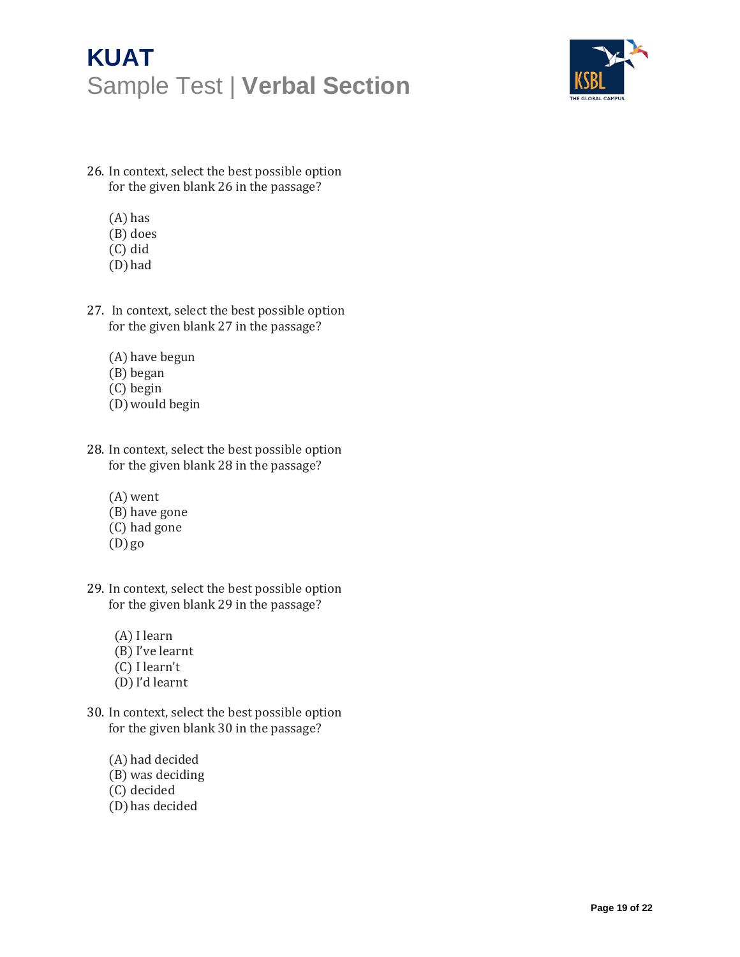

- 26. In context, select the best possible option for the given blank 26 in the passage?
	- (A) has
	- (B) does
	- (C) did
	- (D) had
- 27. In context, select the best possible option for the given blank 27 in the passage?
	- (A) have begun
	- (B) began
	- (C) begin
	- (D)would begin
- 28. In context, select the best possible option for the given blank 28 in the passage?
	- (A) went
	- (B) have gone
	- (C) had gone
	- (D) go
- 29. In context, select the best possible option for the given blank 29 in the passage?
	- (A) I learn
	- (B) I've learnt
	- (C) I learn't
	- (D) I'd learnt
- 30. In context, select the best possible option for the given blank 30 in the passage?
	- (A) had decided
	- (B) was deciding
	- (C) decided
	- (D) has decided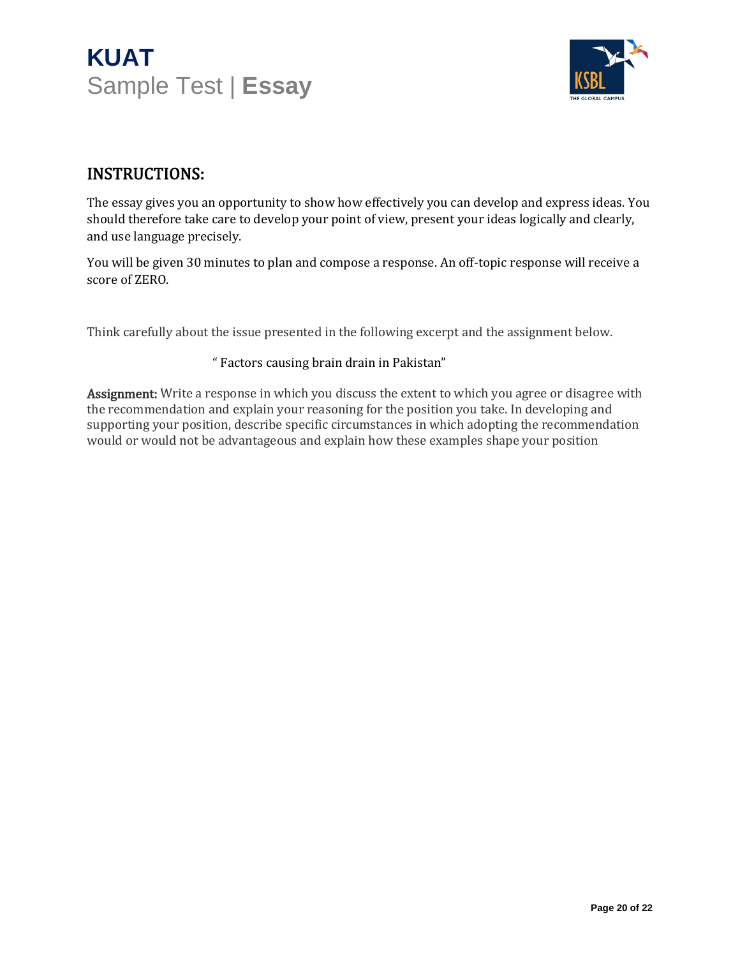# **KUAT** Sample Test | **Essay**



### INSTRUCTIONS:

The essay gives you an opportunity to show how effectively you can develop and express ideas. You should therefore take care to develop your point of view, present your ideas logically and clearly, and use language precisely.

You will be given 30 minutes to plan and compose a response. An off-topic response will receive a score of ZERO.

Think carefully about the issue presented in the following excerpt and the assignment below.

" Factors causing brain drain in Pakistan"

Assignment: Write a response in which you discuss the extent to which you agree or disagree with the recommendation and explain your reasoning for the position you take. In developing and supporting your position, describe specific circumstances in which adopting the recommendation would or would not be advantageous and explain how these examples shape your position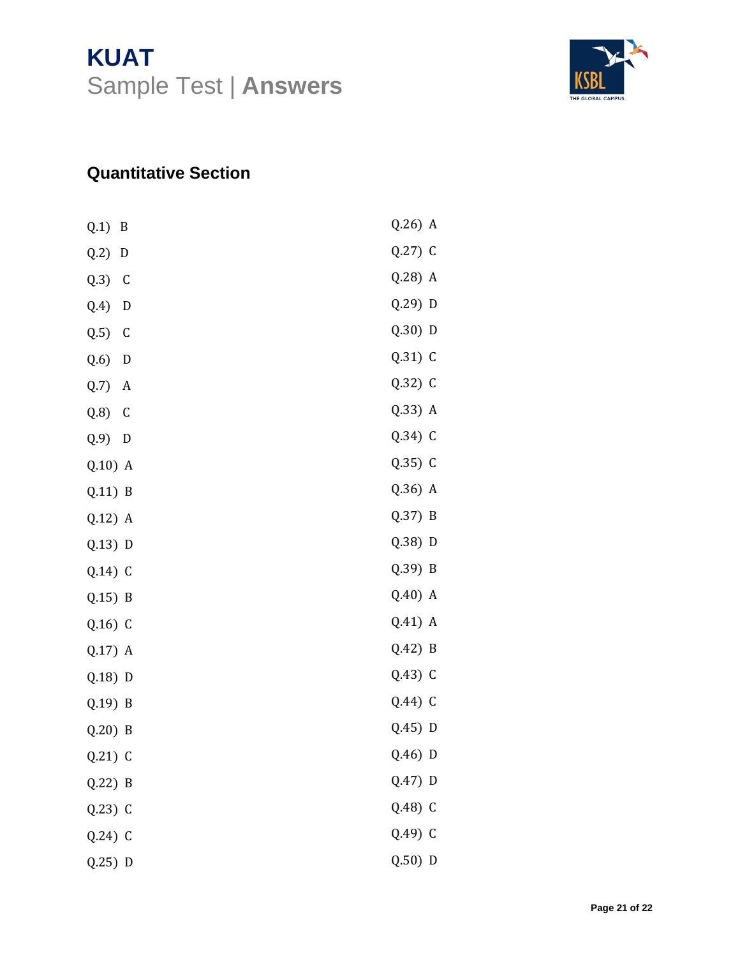# **KUAT** Sample Test | **Answers**



### **Quantitative Section**

| (0.1)      | B           | Q.26) A   |  |
|------------|-------------|-----------|--|
| Q.2)       | ${\bf D}$   | Q.27) C   |  |
| Q.3)       | C           | Q.28) A   |  |
| (0.4)      | $\mathbf D$ | Q.29) D   |  |
| (0.5)      | $\mathsf C$ | Q.30) D   |  |
| Q.6)       | $\mathbf D$ | Q.31) C   |  |
| Q.7)       | A           | Q.32) C   |  |
| (0.8)      | $\mathsf C$ | Q.33) A   |  |
| (0.9)      | $\mathbf D$ | Q.34) C   |  |
| Q.10) A    |             | Q.35) C   |  |
| Q.11) B    |             | Q.36) A   |  |
| Q.12) A    |             | Q.37) B   |  |
| Q.13) D    |             | Q.38) D   |  |
| Q.14) C    |             | Q.39) B   |  |
| Q.15) B    |             | Q.40) A   |  |
| Q.16) C    |             | Q.41) A   |  |
| Q.17) A    |             | Q.42) B   |  |
| Q.18) D    |             | Q.43) C   |  |
| Q.19) B    |             | Q.44) C   |  |
| Q.20) B    |             | $Q.45)$ D |  |
| $Q.21)$ C  |             | $Q.46)$ D |  |
| $Q.22)$ B  |             | Q.47) D   |  |
| Q.23) C    |             | $Q.48)$ C |  |
| $Q.24)$ C  |             | Q.49) C   |  |
| $Q.25$ ) D |             | Q.50) D   |  |